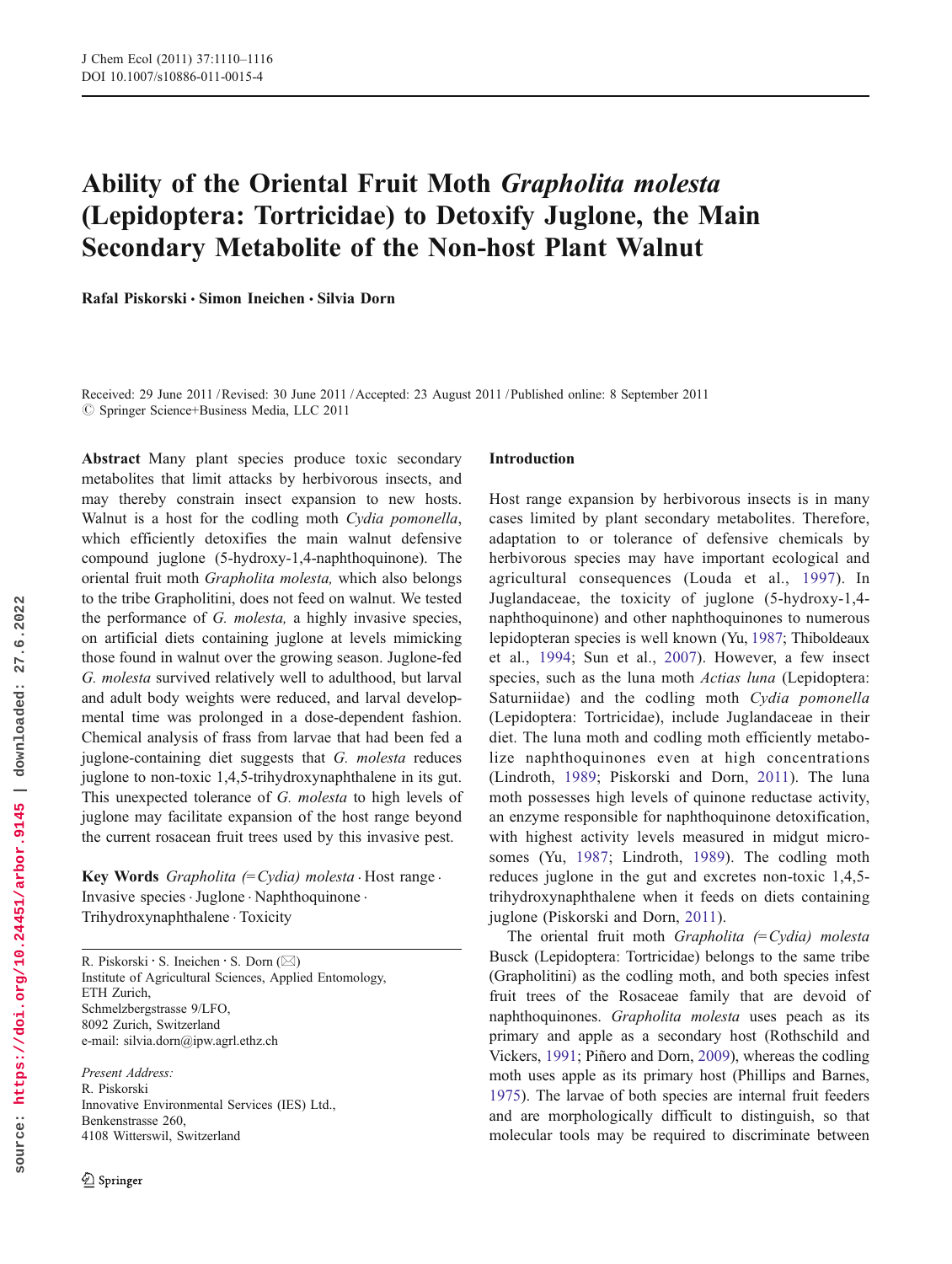# Ability of the Oriental Fruit Moth Grapholita molesta (Lepidoptera: Tortricidae) to Detoxify Juglone, the Main Secondary Metabolite of the Non-host Plant Walnut

Rafal Piskorski & Simon Ineichen & Silvia Dorn

Received: 29 June 2011 /Revised: 30 June 2011 /Accepted: 23 August 2011 / Published online: 8 September 2011  $©$  Springer Science+Business Media, LLC 2011

Abstract Many plant species produce toxic secondary metabolites that limit attacks by herbivorous insects, and may thereby constrain insect expansion to new hosts. Walnut is a host for the codling moth Cydia pomonella, which efficiently detoxifies the main walnut defensive compound juglone (5-hydroxy-1,4-naphthoquinone). The oriental fruit moth Grapholita molesta, which also belongs to the tribe Grapholitini, does not feed on walnut. We tested the performance of G. molesta, a highly invasive species, on artificial diets containing juglone at levels mimicking those found in walnut over the growing season. Juglone-fed G. molesta survived relatively well to adulthood, but larval and adult body weights were reduced, and larval developmental time was prolonged in a dose-dependent fashion. Chemical analysis of frass from larvae that had been fed a juglone-containing diet suggests that G. molesta reduces juglone to non-toxic 1,4,5-trihydroxynaphthalene in its gut. This unexpected tolerance of G. molesta to high levels of juglone may facilitate expansion of the host range beyond the current rosacean fruit trees used by this invasive pest.

Key Words *Grapholita* (= Cydia) molesta  $\cdot$  Host range  $\cdot$ Invasive species .Juglone . Naphthoquinone . Trihydroxynaphthalene . Toxicity

R. Piskorski · S. Ineichen · S. Dorn  $(\boxtimes)$ Institute of Agricultural Sciences, Applied Entomology, ETH Zurich, Schmelzbergstrasse 9/LFO, 8092 Zurich, Switzerland e-mail: silvia.dorn@ipw.agrl.ethz.ch

Present Address: R. Piskorski Innovative Environmental Services (IES) Ltd., Benkenstrasse 260, 4108 Witterswil, Switzerland

# Introduction

Host range expansion by herbivorous insects is in many cases limited by plant secondary metabolites. Therefore, adaptation to or tolerance of defensive chemicals by herbivorous species may have important ecological and agricultural consequences (Louda et al., 1997). In Juglandaceae, the toxicity of juglone (5-hydroxy-1,4 naphthoquinone) and other naphthoquinones to numerous lepidopteran species is well known (Yu, 1987; Thiboldeaux et al., 1994; Sun et al., 2007). However, a few insect species, such as the luna moth *Actias luna* (Lepidoptera: Saturniidae) and the codling moth Cydia pomonella (Lepidoptera: Tortricidae), include Juglandaceae in their diet. The luna moth and codling moth efficiently metabolize naphthoquinones even at high concentrations (Lindroth, 1989; Piskorski and Dorn, 2011). The luna moth possesses high levels of quinone reductase activity, an enzyme responsible for naphthoquinone detoxification, with highest activity levels measured in midgut microsomes (Yu, 1987; Lindroth, 1989). The codling moth reduces juglone in the gut and excretes non-toxic 1,4,5 trihydroxynaphthalene when it feeds on diets containing juglone (Piskorski and Dorn, 2011).

The oriental fruit moth Grapholita  $(=Cydia)$  molesta Busck (Lepidoptera: Tortricidae) belongs to the same tribe (Grapholitini) as the codling moth, and both species infest fruit trees of the Rosaceae family that are devoid of naphthoquinones. Grapholita molesta uses peach as its primary and apple as a secondary host (Rothschild and Vickers, 1991; Piñero and Dorn, 2009), whereas the codling moth uses apple as its primary host (Phillips and Barnes, 1975). The larvae of both species are internal fruit feeders and are morphologically difficult to distinguish, so that molecular tools may be required to discriminate between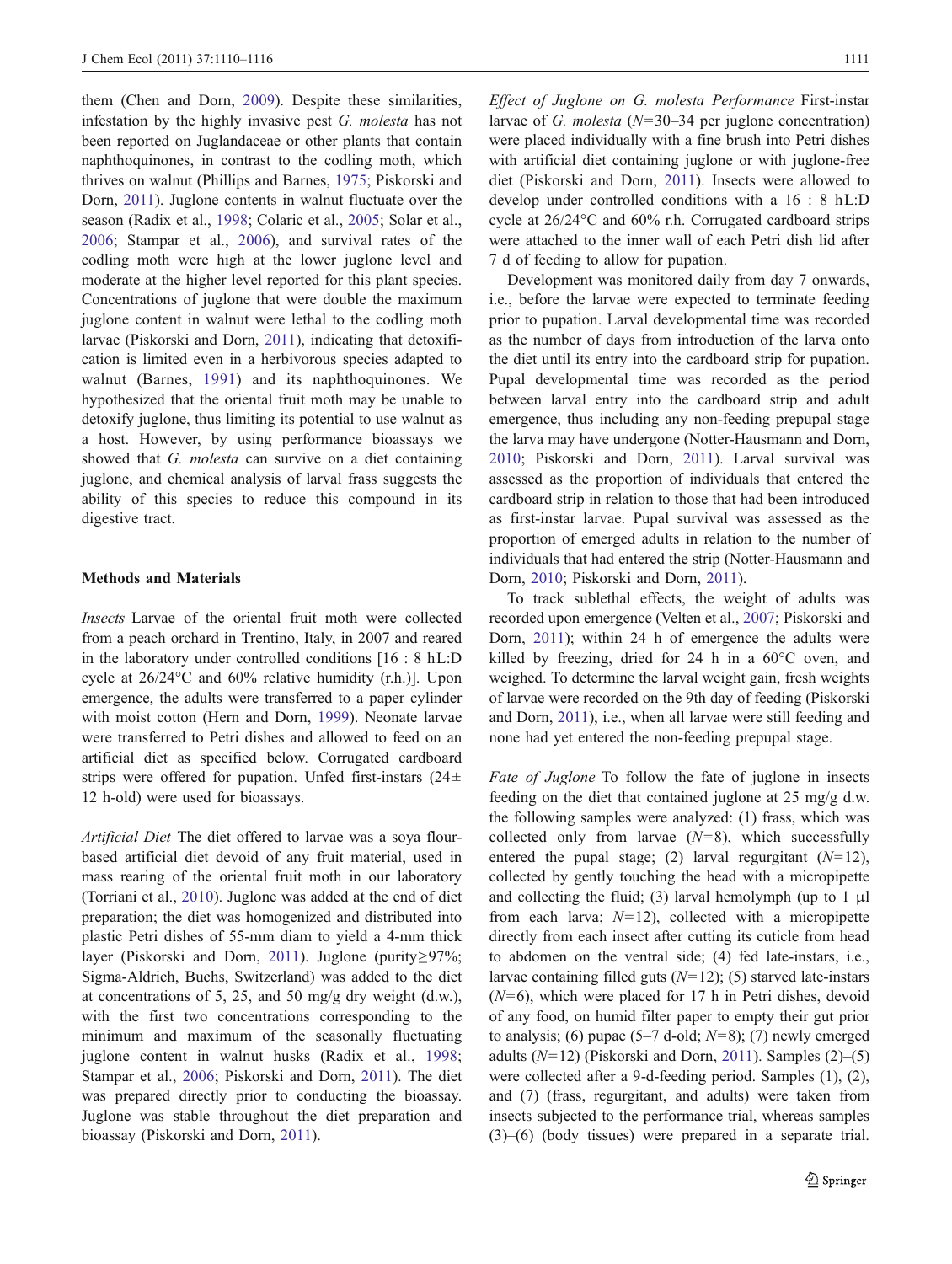them (Chen and Dorn, 2009). Despite these similarities, infestation by the highly invasive pest G. molesta has not been reported on Juglandaceae or other plants that contain naphthoquinones, in contrast to the codling moth, which thrives on walnut (Phillips and Barnes, 1975; Piskorski and Dorn, 2011). Juglone contents in walnut fluctuate over the season (Radix et al., 1998; Colaric et al., 2005; Solar et al., 2006; Stampar et al., 2006), and survival rates of the codling moth were high at the lower juglone level and moderate at the higher level reported for this plant species. Concentrations of juglone that were double the maximum juglone content in walnut were lethal to the codling moth larvae (Piskorski and Dorn, 2011), indicating that detoxification is limited even in a herbivorous species adapted to walnut (Barnes, 1991) and its naphthoquinones. We hypothesized that the oriental fruit moth may be unable to detoxify juglone, thus limiting its potential to use walnut as a host. However, by using performance bioassays we showed that G. molesta can survive on a diet containing juglone, and chemical analysis of larval frass suggests the ability of this species to reduce this compound in its digestive tract.

### Methods and Materials

Insects Larvae of the oriental fruit moth were collected from a peach orchard in Trentino, Italy, in 2007 and reared in the laboratory under controlled conditions [16 : 8 hL:D cycle at 26/24°C and 60% relative humidity (r.h.)]. Upon emergence, the adults were transferred to a paper cylinder with moist cotton (Hern and Dorn, 1999). Neonate larvae were transferred to Petri dishes and allowed to feed on an artificial diet as specified below. Corrugated cardboard strips were offered for pupation. Unfed first-instars  $(24 \pm$ 12 h-old) were used for bioassays.

Artificial Diet The diet offered to larvae was a soya flourbased artificial diet devoid of any fruit material, used in mass rearing of the oriental fruit moth in our laboratory (Torriani et al., 2010). Juglone was added at the end of diet preparation; the diet was homogenized and distributed into plastic Petri dishes of 55-mm diam to yield a 4-mm thick layer (Piskorski and Dorn, 2011). Juglone (purity≥97%; Sigma-Aldrich, Buchs, Switzerland) was added to the diet at concentrations of 5, 25, and 50 mg/g dry weight (d.w.), with the first two concentrations corresponding to the minimum and maximum of the seasonally fluctuating juglone content in walnut husks (Radix et al., 1998; Stampar et al., 2006; Piskorski and Dorn, 2011). The diet was prepared directly prior to conducting the bioassay. Juglone was stable throughout the diet preparation and bioassay (Piskorski and Dorn, 2011).

Effect of Juglone on G. molesta Performance First-instar larvae of G. molesta  $(N=30-34$  per juglone concentration) were placed individually with a fine brush into Petri dishes with artificial diet containing juglone or with juglone-free diet (Piskorski and Dorn, 2011). Insects were allowed to develop under controlled conditions with a 16 : 8 hL:D cycle at 26/24°C and 60% r.h. Corrugated cardboard strips were attached to the inner wall of each Petri dish lid after 7 d of feeding to allow for pupation.

Development was monitored daily from day 7 onwards, i.e., before the larvae were expected to terminate feeding prior to pupation. Larval developmental time was recorded as the number of days from introduction of the larva onto the diet until its entry into the cardboard strip for pupation. Pupal developmental time was recorded as the period between larval entry into the cardboard strip and adult emergence, thus including any non-feeding prepupal stage the larva may have undergone (Notter-Hausmann and Dorn, 2010; Piskorski and Dorn, 2011). Larval survival was assessed as the proportion of individuals that entered the cardboard strip in relation to those that had been introduced as first-instar larvae. Pupal survival was assessed as the proportion of emerged adults in relation to the number of individuals that had entered the strip (Notter-Hausmann and Dorn, 2010; Piskorski and Dorn, 2011).

To track sublethal effects, the weight of adults was recorded upon emergence (Velten et al., 2007; Piskorski and Dorn, 2011); within 24 h of emergence the adults were killed by freezing, dried for 24 h in a 60°C oven, and weighed. To determine the larval weight gain, fresh weights of larvae were recorded on the 9th day of feeding (Piskorski and Dorn, 2011), i.e., when all larvae were still feeding and none had yet entered the non-feeding prepupal stage.

Fate of Juglone To follow the fate of juglone in insects feeding on the diet that contained juglone at 25 mg/g d.w. the following samples were analyzed: (1) frass, which was collected only from larvae  $(N=8)$ , which successfully entered the pupal stage; (2) larval regurgitant  $(N=12)$ , collected by gently touching the head with a micropipette and collecting the fluid; (3) larval hemolymph (up to 1  $\mu$ l from each larva;  $N=12$ ), collected with a micropipette directly from each insect after cutting its cuticle from head to abdomen on the ventral side; (4) fed late-instars, i.e., larvae containing filled guts  $(N=12)$ ; (5) starved late-instars  $(N=6)$ , which were placed for 17 h in Petri dishes, devoid of any food, on humid filter paper to empty their gut prior to analysis; (6) pupae  $(5-7 \text{ d-old}; N=8)$ ; (7) newly emerged adults  $(N=12)$  (Piskorski and Dorn, 2011). Samples  $(2)$ – $(5)$ were collected after a 9-d-feeding period. Samples (1), (2), and (7) (frass, regurgitant, and adults) were taken from insects subjected to the performance trial, whereas samples (3)–(6) (body tissues) were prepared in a separate trial.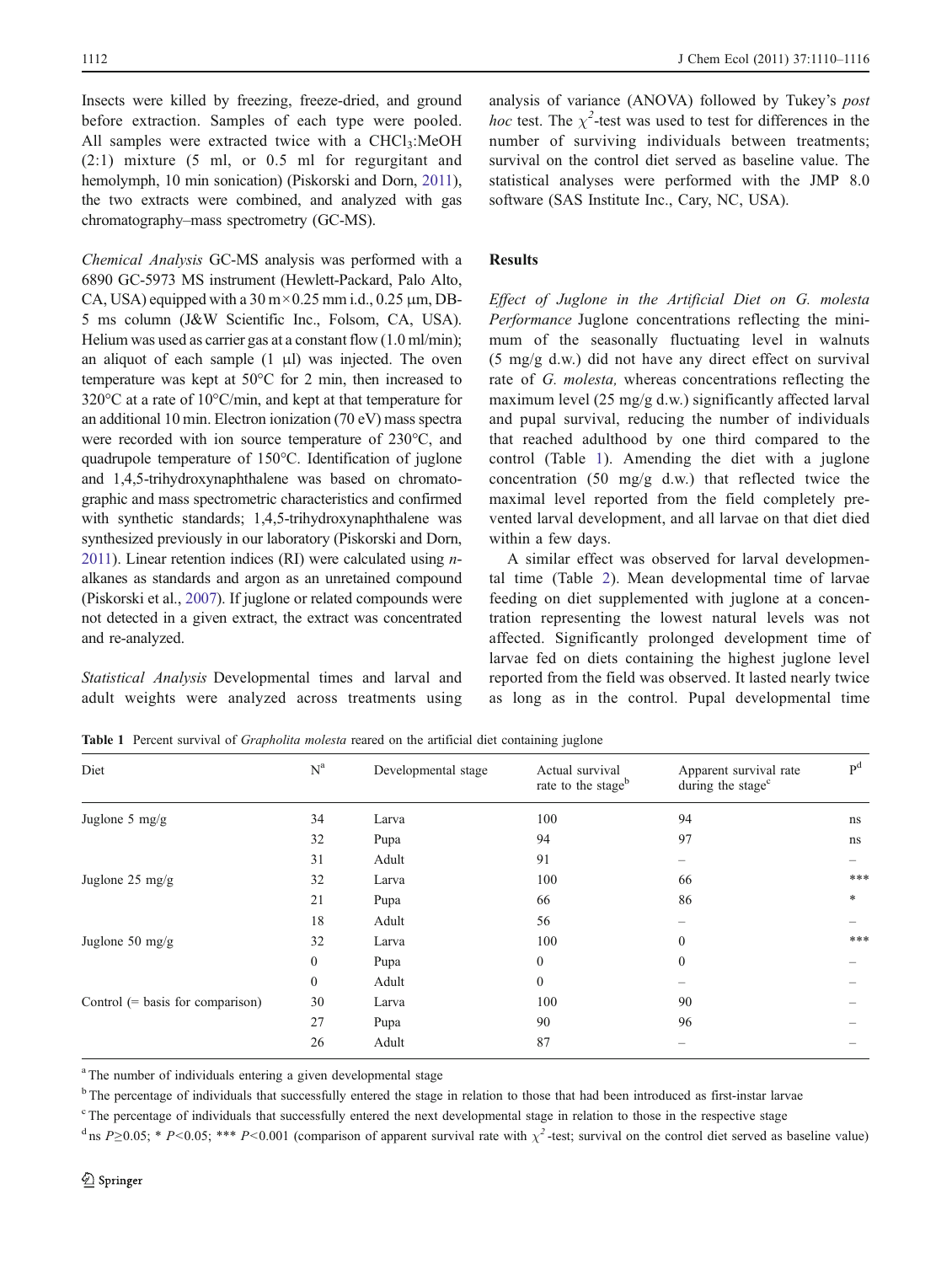Insects were killed by freezing, freeze-dried, and ground before extraction. Samples of each type were pooled. All samples were extracted twice with a  $CHCl<sub>3</sub>:MeOH$ (2:1) mixture (5 ml, or 0.5 ml for regurgitant and hemolymph, 10 min sonication) (Piskorski and Dorn, 2011), the two extracts were combined, and analyzed with gas chromatography–mass spectrometry (GC-MS).

Chemical Analysis GC-MS analysis was performed with a 6890 GC-5973 MS instrument (Hewlett-Packard, Palo Alto, CA, USA) equipped with a  $30 \text{ m} \times 0.25 \text{ mm}$  i.d., 0.25  $\mu$ m, DB-5 ms column (J&W Scientific Inc., Folsom, CA, USA). Helium was used as carrier gas at a constant flow (1.0 ml/min); an aliquot of each sample  $(1 \mu l)$  was injected. The oven temperature was kept at 50°C for 2 min, then increased to 320°C at a rate of 10°C/min, and kept at that temperature for an additional 10 min. Electron ionization (70 eV) mass spectra were recorded with ion source temperature of 230°C, and quadrupole temperature of 150°C. Identification of juglone and 1,4,5-trihydroxynaphthalene was based on chromatographic and mass spectrometric characteristics and confirmed with synthetic standards; 1,4,5-trihydroxynaphthalene was synthesized previously in our laboratory (Piskorski and Dorn, 2011). Linear retention indices (RI) were calculated using  $n$ alkanes as standards and argon as an unretained compound (Piskorski et al., 2007). If juglone or related compounds were not detected in a given extract, the extract was concentrated and re-analyzed.

Statistical Analysis Developmental times and larval and adult weights were analyzed across treatments using

analysis of variance (ANOVA) followed by Tukey's post *hoc* test. The  $\chi^2$ -test was used to test for differences in the number of surviving individuals between treatments; survival on the control diet served as baseline value. The statistical analyses were performed with the JMP 8.0 software (SAS Institute Inc., Cary, NC, USA).

## Results

Effect of Juglone in the Artificial Diet on G. molesta Performance Juglone concentrations reflecting the minimum of the seasonally fluctuating level in walnuts (5 mg/g d.w.) did not have any direct effect on survival rate of G. molesta, whereas concentrations reflecting the maximum level (25 mg/g d.w.) significantly affected larval and pupal survival, reducing the number of individuals that reached adulthood by one third compared to the control (Table 1). Amending the diet with a juglone concentration (50 mg/g d.w.) that reflected twice the maximal level reported from the field completely prevented larval development, and all larvae on that diet died within a few days.

A similar effect was observed for larval developmental time (Table 2). Mean developmental time of larvae feeding on diet supplemented with juglone at a concentration representing the lowest natural levels was not affected. Significantly prolonged development time of larvae fed on diets containing the highest juglone level reported from the field was observed. It lasted nearly twice as long as in the control. Pupal developmental time

Table 1 Percent survival of *Grapholita molesta* reared on the artificial diet containing juglone

| Diet                               | $N^a$            | Developmental stage | Actual survival<br>rate to the stageb | Apparent survival rate<br>during the stage <sup>c</sup> | P <sup>d</sup> |
|------------------------------------|------------------|---------------------|---------------------------------------|---------------------------------------------------------|----------------|
| Juglone 5 mg/g                     | 34               | Larva               | 100                                   | 94                                                      | ns             |
|                                    | 32               | Pupa                | 94                                    | 97                                                      | ns             |
|                                    | 31               | Adult               | 91                                    |                                                         |                |
| Juglone 25 mg/g                    | 32               | Larva               | 100                                   | 66                                                      | ***            |
|                                    | 21               | Pupa                | 66                                    | 86                                                      | $\ast$         |
|                                    | 18               | Adult               | 56                                    |                                                         |                |
| Juglone 50 $mg/g$                  | 32               | Larva               | 100                                   | $\Omega$                                                | ***            |
|                                    | $\boldsymbol{0}$ | Pupa                | $\mathbf{0}$                          | $\theta$                                                |                |
|                                    | $\mathbf{0}$     | Adult               | $\mathbf{0}$                          |                                                         |                |
| Control $(=$ basis for comparison) | 30               | Larva               | 100                                   | 90                                                      |                |
|                                    | 27               | Pupa                | 90                                    | 96                                                      |                |
|                                    | 26               | Adult               | 87                                    |                                                         |                |

<sup>a</sup> The number of individuals entering a given developmental stage

<sup>b</sup> The percentage of individuals that successfully entered the stage in relation to those that had been introduced as first-instar larvae

<sup>c</sup> The percentage of individuals that successfully entered the next developmental stage in relation to those in the respective stage

<sup>d</sup> ns  $P \ge 0.05$ ; \*  $P \le 0.05$ ; \*\*\*  $P \le 0.001$  (comparison of apparent survival rate with  $\chi^2$ -test; survival on the control diet served as baseline value)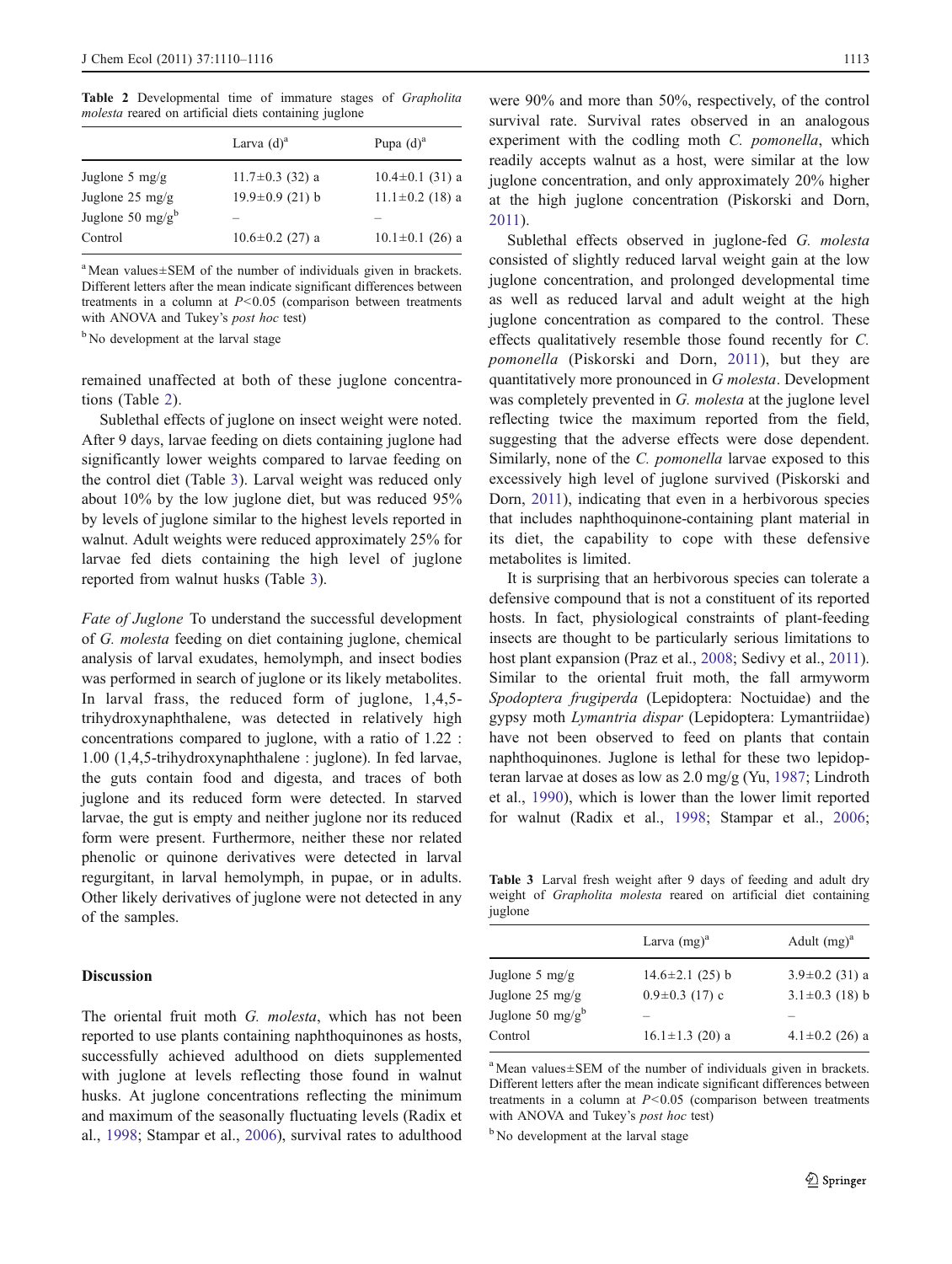Table 2 Developmental time of immature stages of Grapholita molesta reared on artificial diets containing juglone

|                              | Larva $(d)^a$         | Pupa $(d)^a$          |
|------------------------------|-----------------------|-----------------------|
| Juglone 5 $mg/g$             | $11.7 \pm 0.3$ (32) a | $10.4 \pm 0.1$ (31) a |
| Juglone $25 \text{ mg/g}$    | $19.9 \pm 0.9$ (21) b | $11.1 \pm 0.2$ (18) a |
| Juglone 50 mg/g <sup>b</sup> |                       |                       |
| Control                      | $10.6 \pm 0.2$ (27) a | $10.1 \pm 0.1$ (26) a |
|                              |                       |                       |

<sup>a</sup> Mean values±SEM of the number of individuals given in brackets. Different letters after the mean indicate significant differences between treatments in a column at  $P < 0.05$  (comparison between treatments with ANOVA and Tukey's *post hoc* test)

<sup>b</sup> No development at the larval stage

remained unaffected at both of these juglone concentrations (Table 2).

Sublethal effects of juglone on insect weight were noted. After 9 days, larvae feeding on diets containing juglone had significantly lower weights compared to larvae feeding on the control diet (Table 3). Larval weight was reduced only about 10% by the low juglone diet, but was reduced 95% by levels of juglone similar to the highest levels reported in walnut. Adult weights were reduced approximately 25% for larvae fed diets containing the high level of juglone reported from walnut husks (Table 3).

Fate of Juglone To understand the successful development of G. molesta feeding on diet containing juglone, chemical analysis of larval exudates, hemolymph, and insect bodies was performed in search of juglone or its likely metabolites. In larval frass, the reduced form of juglone, 1,4,5 trihydroxynaphthalene, was detected in relatively high concentrations compared to juglone, with a ratio of 1.22 : 1.00 (1,4,5-trihydroxynaphthalene : juglone). In fed larvae, the guts contain food and digesta, and traces of both juglone and its reduced form were detected. In starved larvae, the gut is empty and neither juglone nor its reduced form were present. Furthermore, neither these nor related phenolic or quinone derivatives were detected in larval regurgitant, in larval hemolymph, in pupae, or in adults. Other likely derivatives of juglone were not detected in any of the samples.

#### Discussion

The oriental fruit moth G. molesta, which has not been reported to use plants containing naphthoquinones as hosts, successfully achieved adulthood on diets supplemented with juglone at levels reflecting those found in walnut husks. At juglone concentrations reflecting the minimum and maximum of the seasonally fluctuating levels (Radix et al., 1998; Stampar et al., 2006), survival rates to adulthood

were 90% and more than 50%, respectively, of the control survival rate. Survival rates observed in an analogous experiment with the codling moth C. pomonella, which readily accepts walnut as a host, were similar at the low juglone concentration, and only approximately 20% higher at the high juglone concentration (Piskorski and Dorn, 2011).

Sublethal effects observed in juglone-fed G. molesta consisted of slightly reduced larval weight gain at the low juglone concentration, and prolonged developmental time as well as reduced larval and adult weight at the high juglone concentration as compared to the control. These effects qualitatively resemble those found recently for C. pomonella (Piskorski and Dorn, 2011), but they are quantitatively more pronounced in G molesta. Development was completely prevented in G. molesta at the juglone level reflecting twice the maximum reported from the field, suggesting that the adverse effects were dose dependent. Similarly, none of the C. pomonella larvae exposed to this excessively high level of juglone survived (Piskorski and Dorn, 2011), indicating that even in a herbivorous species that includes naphthoquinone-containing plant material in its diet, the capability to cope with these defensive metabolites is limited.

It is surprising that an herbivorous species can tolerate a defensive compound that is not a constituent of its reported hosts. In fact, physiological constraints of plant-feeding insects are thought to be particularly serious limitations to host plant expansion (Praz et al., 2008; Sedivy et al., 2011). Similar to the oriental fruit moth, the fall armyworm Spodoptera frugiperda (Lepidoptera: Noctuidae) and the gypsy moth Lymantria dispar (Lepidoptera: Lymantriidae) have not been observed to feed on plants that contain naphthoquinones. Juglone is lethal for these two lepidopteran larvae at doses as low as 2.0 mg/g (Yu, 1987; Lindroth et al., 1990), which is lower than the lower limit reported for walnut (Radix et al., 1998; Stampar et al., 2006;

Table 3 Larval fresh weight after 9 days of feeding and adult dry weight of Grapholita molesta reared on artificial diet containing juglone

|                              | Larva $(mg)^a$        | Adult $(mg)^a$       |
|------------------------------|-----------------------|----------------------|
| Juglone 5 $mg/g$             | $14.6 \pm 2.1$ (25) b | $3.9 \pm 0.2$ (31) a |
| Juglone $25 \text{ mg/g}$    | $0.9 \pm 0.3$ (17) c  | $3.1 \pm 0.3$ (18) b |
| Juglone 50 mg/g <sup>b</sup> |                       |                      |
| Control                      | $16.1 \pm 1.3$ (20) a | $4.1 \pm 0.2$ (26) a |

<sup>a</sup> Mean values±SEM of the number of individuals given in brackets. Different letters after the mean indicate significant differences between treatments in a column at  $P < 0.05$  (comparison between treatments with ANOVA and Tukey's post hoc test)

<sup>b</sup> No development at the larval stage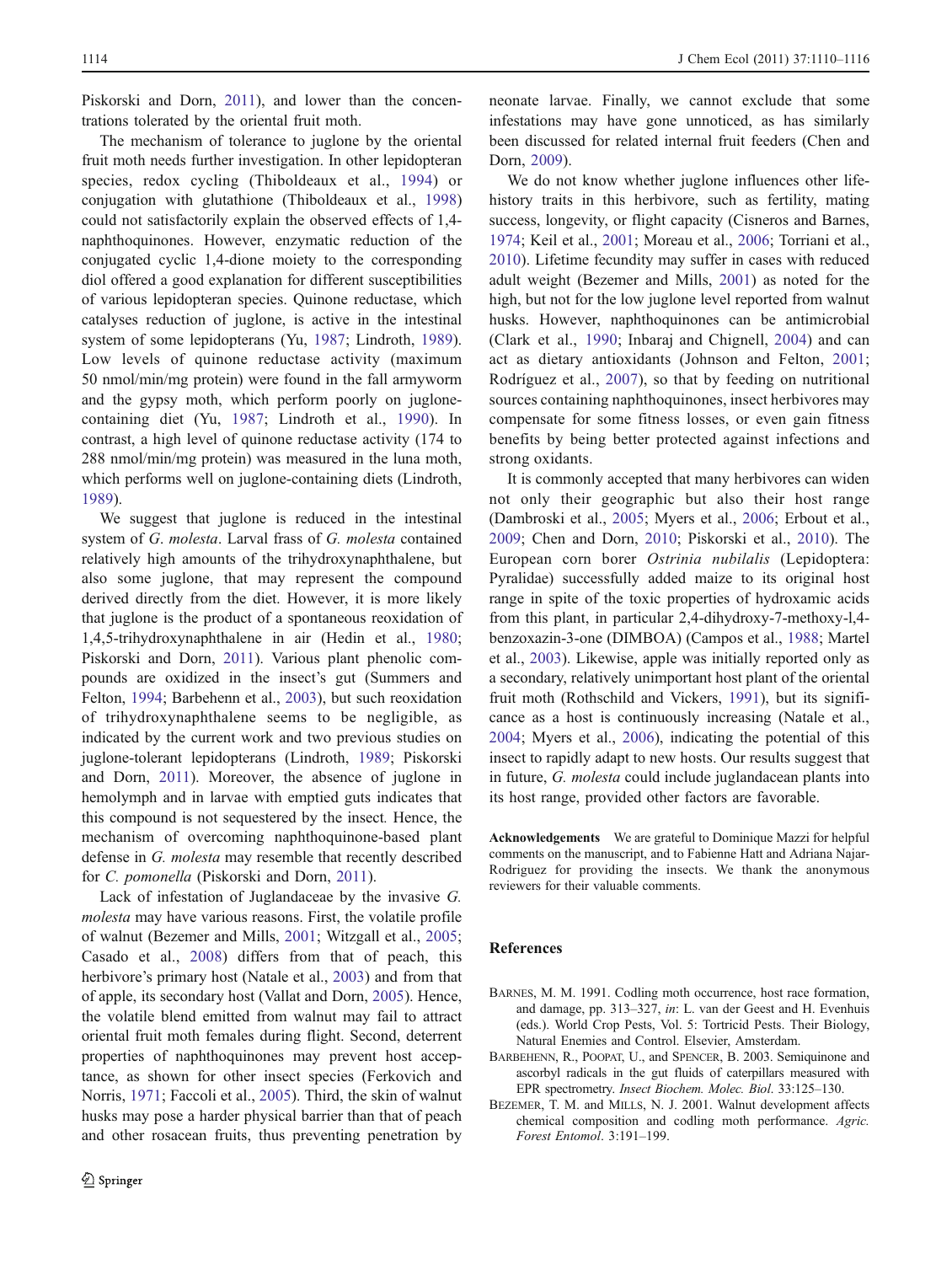Piskorski and Dorn, 2011), and lower than the concentrations tolerated by the oriental fruit moth.

The mechanism of tolerance to juglone by the oriental fruit moth needs further investigation. In other lepidopteran species, redox cycling (Thiboldeaux et al., 1994) or conjugation with glutathione (Thiboldeaux et al., 1998) could not satisfactorily explain the observed effects of 1,4 naphthoquinones. However, enzymatic reduction of the conjugated cyclic 1,4-dione moiety to the corresponding diol offered a good explanation for different susceptibilities of various lepidopteran species. Quinone reductase, which catalyses reduction of juglone, is active in the intestinal system of some lepidopterans (Yu, 1987; Lindroth, 1989). Low levels of quinone reductase activity (maximum 50 nmol/min/mg protein) were found in the fall armyworm and the gypsy moth, which perform poorly on juglonecontaining diet (Yu, 1987; Lindroth et al., 1990). In contrast, a high level of quinone reductase activity (174 to 288 nmol/min/mg protein) was measured in the luna moth, which performs well on juglone-containing diets (Lindroth, 1989).

We suggest that juglone is reduced in the intestinal system of G. molesta. Larval frass of G. molesta contained relatively high amounts of the trihydroxynaphthalene, but also some juglone, that may represent the compound derived directly from the diet. However, it is more likely that juglone is the product of a spontaneous reoxidation of 1,4,5-trihydroxynaphthalene in air (Hedin et al., 1980; Piskorski and Dorn, 2011). Various plant phenolic compounds are oxidized in the insect's gut (Summers and Felton, 1994; Barbehenn et al., 2003), but such reoxidation of trihydroxynaphthalene seems to be negligible, as indicated by the current work and two previous studies on juglone-tolerant lepidopterans (Lindroth, 1989; Piskorski and Dorn, 2011). Moreover, the absence of juglone in hemolymph and in larvae with emptied guts indicates that this compound is not sequestered by the insect. Hence, the mechanism of overcoming naphthoquinone-based plant defense in G. molesta may resemble that recently described for C. pomonella (Piskorski and Dorn, 2011).

Lack of infestation of Juglandaceae by the invasive G. molesta may have various reasons. First, the volatile profile of walnut (Bezemer and Mills, 2001; Witzgall et al., 2005; Casado et al., 2008) differs from that of peach, this herbivore's primary host (Natale et al., 2003) and from that of apple, its secondary host (Vallat and Dorn, 2005). Hence, the volatile blend emitted from walnut may fail to attract oriental fruit moth females during flight. Second, deterrent properties of naphthoquinones may prevent host acceptance, as shown for other insect species (Ferkovich and Norris, 1971; Faccoli et al., 2005). Third, the skin of walnut husks may pose a harder physical barrier than that of peach and other rosacean fruits, thus preventing penetration by

neonate larvae. Finally, we cannot exclude that some infestations may have gone unnoticed, as has similarly been discussed for related internal fruit feeders (Chen and Dorn, 2009).

We do not know whether juglone influences other lifehistory traits in this herbivore, such as fertility, mating success, longevity, or flight capacity (Cisneros and Barnes, 1974; Keil et al., 2001; Moreau et al., 2006; Torriani et al., 2010). Lifetime fecundity may suffer in cases with reduced adult weight (Bezemer and Mills, 2001) as noted for the high, but not for the low juglone level reported from walnut husks. However, naphthoquinones can be antimicrobial (Clark et al., 1990; Inbaraj and Chignell, 2004) and can act as dietary antioxidants (Johnson and Felton, 2001; Rodríguez et al., 2007), so that by feeding on nutritional sources containing naphthoquinones, insect herbivores may compensate for some fitness losses, or even gain fitness benefits by being better protected against infections and strong oxidants.

It is commonly accepted that many herbivores can widen not only their geographic but also their host range (Dambroski et al., 2005; Myers et al., 2006; Erbout et al., 2009; Chen and Dorn, 2010; Piskorski et al., 2010). The European corn borer Ostrinia nubilalis (Lepidoptera: Pyralidae) successfully added maize to its original host range in spite of the toxic properties of hydroxamic acids from this plant, in particular 2,4-dihydroxy-7-methoxy-l,4 benzoxazin-3-one (DIMBOA) (Campos et al., 1988; Martel et al., 2003). Likewise, apple was initially reported only as a secondary, relatively unimportant host plant of the oriental fruit moth (Rothschild and Vickers, 1991), but its significance as a host is continuously increasing (Natale et al., 2004; Myers et al., 2006), indicating the potential of this insect to rapidly adapt to new hosts. Our results suggest that in future, G. molesta could include juglandacean plants into its host range, provided other factors are favorable.

Acknowledgements We are grateful to Dominique Mazzi for helpful comments on the manuscript, and to Fabienne Hatt and Adriana Najar-Rodriguez for providing the insects. We thank the anonymous reviewers for their valuable comments.

### References

- BARNES, M. M. 1991. Codling moth occurrence, host race formation, and damage, pp. 313–327, in: L. van der Geest and H. Evenhuis (eds.). World Crop Pests, Vol. 5: Tortricid Pests. Their Biology, Natural Enemies and Control. Elsevier, Amsterdam.
- BARBEHENN, R., POOPAT, U., and SPENCER, B. 2003. Semiquinone and ascorbyl radicals in the gut fluids of caterpillars measured with EPR spectrometry. Insect Biochem. Molec. Biol. 33:125–130.
- BEZEMER, T. M. and MILLS, N. J. 2001. Walnut development affects chemical composition and codling moth performance. Agric. Forest Entomol. 3:191–199.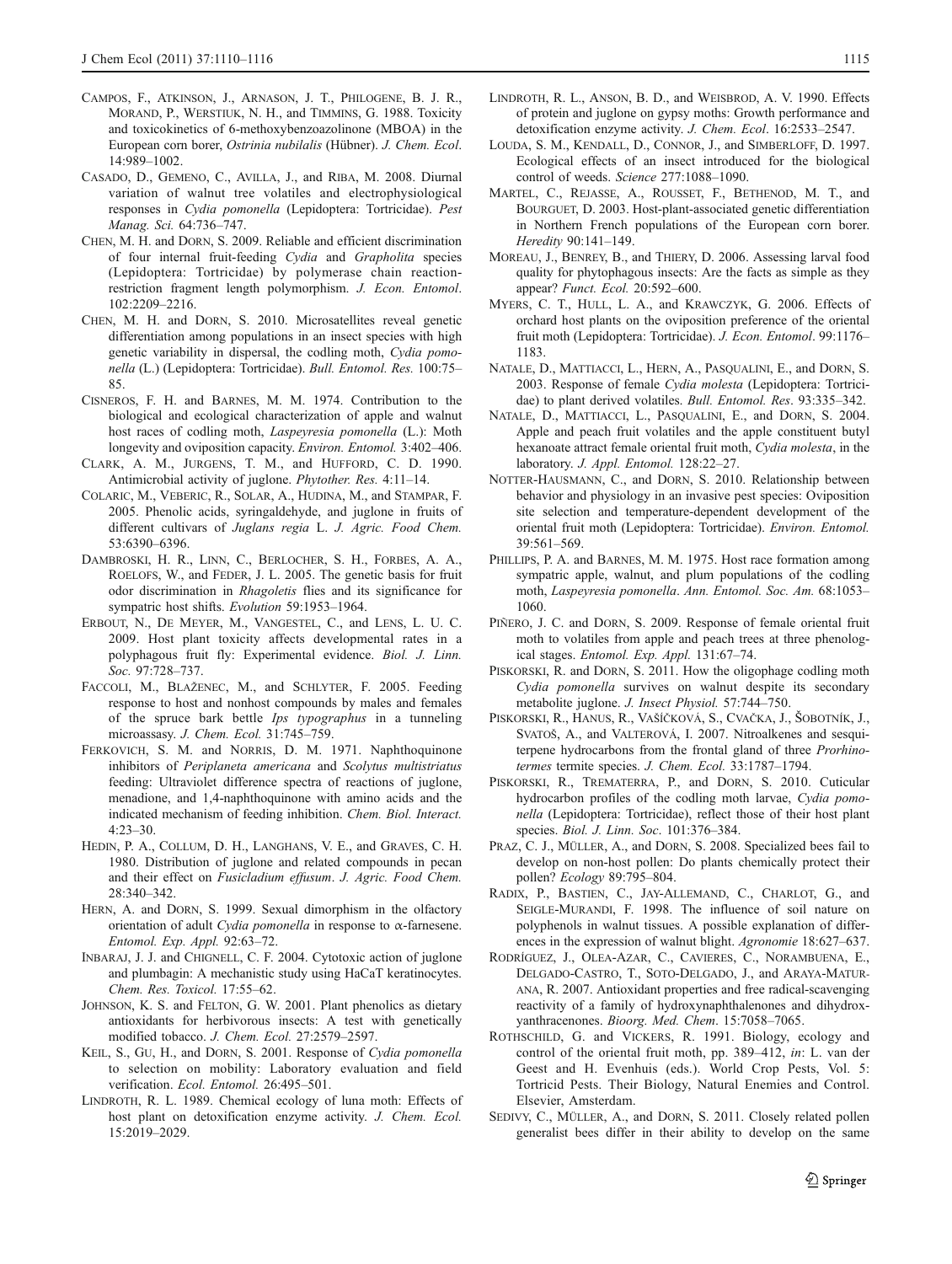- CAMPOS, F., ATKINSON, J., ARNASON, J. T., PHILOGENE, B. J. R., MORAND, P., WERSTIUK, N. H., and TIMMINS, G. 1988. Toxicity and toxicokinetics of 6-methoxybenzoazolinone (MBOA) in the European corn borer, Ostrinia nubilalis (Hübner). J. Chem. Ecol. 14:989–1002.
- CASADO, D., GEMENO, C., AVILLA, J., and RIBA, M. 2008. Diurnal variation of walnut tree volatiles and electrophysiological responses in Cydia pomonella (Lepidoptera: Tortricidae). Pest Manag. Sci. 64:736–747.
- CHEN, M. H. and DORN, S. 2009. Reliable and efficient discrimination of four internal fruit-feeding Cydia and Grapholita species (Lepidoptera: Tortricidae) by polymerase chain reactionrestriction fragment length polymorphism. J. Econ. Entomol. 102:2209–2216.
- CHEN, M. H. and DORN, S. 2010. Microsatellites reveal genetic differentiation among populations in an insect species with high genetic variability in dispersal, the codling moth, Cydia pomonella (L.) (Lepidoptera: Tortricidae). Bull. Entomol. Res. 100:75– 85.
- CISNEROS, F. H. and BARNES, M. M. 1974. Contribution to the biological and ecological characterization of apple and walnut host races of codling moth, Laspeyresia pomonella (L.): Moth longevity and oviposition capacity. Environ. Entomol. 3:402–406.
- CLARK, A. M., JURGENS, T. M., and HUFFORD, C. D. 1990. Antimicrobial activity of juglone. Phytother. Res. 4:11–14.
- COLARIC, M., VEBERIC, R., SOLAR, A., HUDINA, M., and STAMPAR, F. 2005. Phenolic acids, syringaldehyde, and juglone in fruits of different cultivars of Juglans regia L. J. Agric. Food Chem. 53:6390–6396.
- DAMBROSKI, H. R., LINN, C., BERLOCHER, S. H., FORBES, A. A., ROELOFS, W., and FEDER, J. L. 2005. The genetic basis for fruit odor discrimination in Rhagoletis flies and its significance for sympatric host shifts. Evolution 59:1953–1964.
- ERBOUT, N., DE MEYER, M., VANGESTEL, C., and LENS, L. U. C. 2009. Host plant toxicity affects developmental rates in a polyphagous fruit fly: Experimental evidence. Biol. J. Linn. Soc. 97:728–737.
- FACCOLI, M., BLAŽENEC, M., and SCHLYTER, F. 2005. Feeding response to host and nonhost compounds by males and females of the spruce bark bettle Ips typographus in a tunneling microassasy. J. Chem. Ecol. 31:745–759.
- FERKOVICH, S. M. and NORRIS, D. M. 1971. Naphthoquinone inhibitors of Periplaneta americana and Scolytus multistriatus feeding: Ultraviolet difference spectra of reactions of juglone, menadione, and 1,4-naphthoquinone with amino acids and the indicated mechanism of feeding inhibition. Chem. Biol. Interact. 4:23–30.
- HEDIN, P. A., COLLUM, D. H., LANGHANS, V. E., and GRAVES, C. H. 1980. Distribution of juglone and related compounds in pecan and their effect on Fusicladium effusum. J. Agric. Food Chem. 28:340–342.
- HERN, A. and DORN, S. 1999. Sexual dimorphism in the olfactory orientation of adult Cydia pomonella in response to  $\alpha$ -farnesene. Entomol. Exp. Appl. 92:63–72.
- INBARAJ, J. J. and CHIGNELL, C. F. 2004. Cytotoxic action of juglone and plumbagin: A mechanistic study using HaCaT keratinocytes. Chem. Res. Toxicol. 17:55–62.
- JOHNSON, K. S. and FELTON, G. W. 2001. Plant phenolics as dietary antioxidants for herbivorous insects: A test with genetically modified tobacco. J. Chem. Ecol. 27:2579–2597.
- KEIL, S., GU, H., and DORN, S. 2001. Response of Cydia pomonella to selection on mobility: Laboratory evaluation and field verification. Ecol. Entomol. 26:495–501.
- LINDROTH, R. L. 1989. Chemical ecology of luna moth: Effects of host plant on detoxification enzyme activity. J. Chem. Ecol. 15:2019–2029.
- LINDROTH, R. L., ANSON, B. D., and WEISBROD, A. V. 1990. Effects of protein and juglone on gypsy moths: Growth performance and detoxification enzyme activity. J. Chem. Ecol. 16:2533–2547.
- LOUDA, S. M., KENDALL, D., CONNOR, J., and SIMBERLOFF, D. 1997. Ecological effects of an insect introduced for the biological control of weeds. Science 277:1088–1090.
- MARTEL, C., REJASSE, A., ROUSSET, F., BETHENOD, M. T., and BOURGUET, D. 2003. Host-plant-associated genetic differentiation in Northern French populations of the European corn borer. Heredity 90:141–149.
- MOREAU, J., BENREY, B., and THIERY, D. 2006. Assessing larval food quality for phytophagous insects: Are the facts as simple as they appear? Funct. Ecol. 20:592–600.
- MYERS, C. T., HULL, L. A., and KRAWCZYK, G. 2006. Effects of orchard host plants on the oviposition preference of the oriental fruit moth (Lepidoptera: Tortricidae). J. Econ. Entomol. 99:1176– 1183.
- NATALE, D., MATTIACCI, L., HERN, A., PASQUALINI, E., and DORN, S. 2003. Response of female Cydia molesta (Lepidoptera: Tortricidae) to plant derived volatiles. Bull. Entomol. Res. 93:335–342.
- NATALE, D., MATTIACCI, L., PASQUALINI, E., and DORN, S. 2004. Apple and peach fruit volatiles and the apple constituent butyl hexanoate attract female oriental fruit moth, Cydia molesta, in the laboratory. J. Appl. Entomol. 128:22–27.
- NOTTER-HAUSMANN, C., and DORN, S. 2010. Relationship between behavior and physiology in an invasive pest species: Oviposition site selection and temperature-dependent development of the oriental fruit moth (Lepidoptera: Tortricidae). Environ. Entomol. 39:561–569.
- PHILLIPS, P. A. and BARNES, M. M. 1975. Host race formation among sympatric apple, walnut, and plum populations of the codling moth, Laspeyresia pomonella. Ann. Entomol. Soc. Am. 68:1053– 1060.
- PIÑERO, J. C. and DORN, S. 2009. Response of female oriental fruit moth to volatiles from apple and peach trees at three phenological stages. Entomol. Exp. Appl. 131:67–74.
- PISKORSKI, R. and DORN, S. 2011. How the oligophage codling moth Cydia pomonella survives on walnut despite its secondary metabolite juglone. J. Insect Physiol. 57:744–750.
- PISKORSKI, R., HANUS, R., VAŠÍČKOVÁ, S., CVAČKA, J., ŠOBOTNÍK, J., SVATOŠ, A., and VALTEROVÁ, I. 2007. Nitroalkenes and sesquiterpene hydrocarbons from the frontal gland of three Prorhinotermes termite species. J. Chem. Ecol. 33:1787–1794.
- PISKORSKI, R., TREMATERRA, P., and DORN, S. 2010. Cuticular hydrocarbon profiles of the codling moth larvae, Cydia pomonella (Lepidoptera: Tortricidae), reflect those of their host plant species. Biol. J. Linn. Soc. 101:376–384.
- PRAZ, C. J., MÜLLER, A., and DORN, S. 2008. Specialized bees fail to develop on non-host pollen: Do plants chemically protect their pollen? Ecology 89:795–804.
- RADIX, P., BASTIEN, C., JAY-ALLEMAND, C., CHARLOT, G., and SEIGLE-MURANDI, F. 1998. The influence of soil nature on polyphenols in walnut tissues. A possible explanation of differences in the expression of walnut blight. Agronomie 18:627–637.
- RODRÍGUEZ, J., OLEA-AZAR, C., CAVIERES, C., NORAMBUENA, E., DELGADO-CASTRO, T., SOTO-DELGADO, J., and ARAYA-MATUR-ANA, R. 2007. Antioxidant properties and free radical-scavenging reactivity of a family of hydroxynaphthalenones and dihydroxyanthracenones. Bioorg. Med. Chem. 15:7058–7065.
- ROTHSCHILD, G. and VICKERS, R. 1991. Biology, ecology and control of the oriental fruit moth, pp. 389–412, in: L. van der Geest and H. Evenhuis (eds.). World Crop Pests, Vol. 5: Tortricid Pests. Their Biology, Natural Enemies and Control. Elsevier, Amsterdam.
- SEDIVY, C., MÜLLER, A., and DORN, S. 2011. Closely related pollen generalist bees differ in their ability to develop on the same